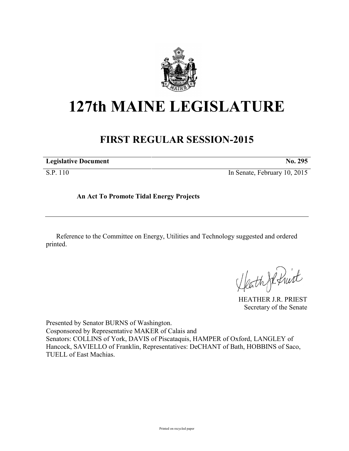

## **127th MAINE LEGISLATURE**

## **FIRST REGULAR SESSION-2015**

| <b>Legislative Document</b> | No. 295                      |
|-----------------------------|------------------------------|
| S.P. 110                    | In Senate, February 10, 2015 |

**An Act To Promote Tidal Energy Projects**

Reference to the Committee on Energy, Utilities and Technology suggested and ordered printed.

Heath Je fruit

HEATHER J.R. PRIEST Secretary of the Senate

Presented by Senator BURNS of Washington. Cosponsored by Representative MAKER of Calais and Senators: COLLINS of York, DAVIS of Piscataquis, HAMPER of Oxford, LANGLEY of Hancock, SAVIELLO of Franklin, Representatives: DeCHANT of Bath, HOBBINS of Saco, TUELL of East Machias.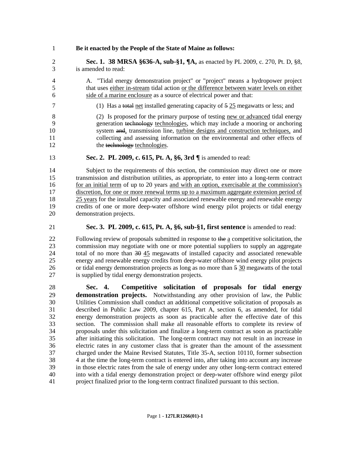## **Be it enacted by the People of the State of Maine as follows:**

 **Sec. 1. 38 MRSA §636-A, sub-§1, ¶A,** as enacted by PL 2009, c. 270, Pt. D, §8, is amended to read:

- A. "Tidal energy demonstration project" or "project" means a hydropower project that uses either in-stream tidal action or the difference between water levels on either side of a marine enclosure as a source of electrical power and that:
- 7 (1) Has a total net installed generating capacity of 5 25 megawatts or less; and

 (2) Is proposed for the primary purpose of testing new or advanced tidal energy generation technology technologies, which may include a mooring or anchoring system and, transmission line, turbine designs and construction techniques, and collecting and assessing information on the environmental and other effects of 12 the technology technologies.

**Sec. 2. PL 2009, c. 615, Pt. A, §6, 3rd ¶** is amended to read:

 Subject to the requirements of this section, the commission may direct one or more transmission and distribution utilities, as appropriate, to enter into a long-term contract 16 for an initial term of up to 20 years and with an option, exercisable at the commission's discretion, for one or more renewal terms up to a maximum aggregate extension period of 25 years for the installed capacity and associated renewable energy and renewable energy credits of one or more deep-water offshore wind energy pilot projects or tidal energy demonstration projects.

**Sec. 3. PL 2009, c. 615, Pt. A, §6, sub-§1, first sentence** is amended to read:

22 Following review of proposals submitted in response to the a competitive solicitation, the commission may negotiate with one or more potential suppliers to supply an aggregate 24 total of no more than  $\frac{30}{15}$  megawatts of installed capacity and associated renewable energy and renewable energy credits from deep-water offshore wind energy pilot projects or tidal energy demonstration projects as long as no more than 5 30 megawatts of the total is supplied by tidal energy demonstration projects.

 **Sec. 4. Competitive solicitation of proposals for tidal energy demonstration projects.** Notwithstanding any other provision of law, the Public Utilities Commission shall conduct an additional competitive solicitation of proposals as described in Public Law 2009, chapter 615, Part A, section 6, as amended, for tidal energy demonstration projects as soon as practicable after the effective date of this section. The commission shall make all reasonable efforts to complete its review of proposals under this solicitation and finalize a long-term contract as soon as practicable after initiating this solicitation. The long-term contract may not result in an increase in electric rates in any customer class that is greater than the amount of the assessment charged under the Maine Revised Statutes, Title 35-A, section 10110, former subsection 4 at the time the long-term contract is entered into, after taking into account any increase in those electric rates from the sale of energy under any other long-term contract entered into with a tidal energy demonstration project or deep-water offshore wind energy pilot project finalized prior to the long-term contract finalized pursuant to this section.